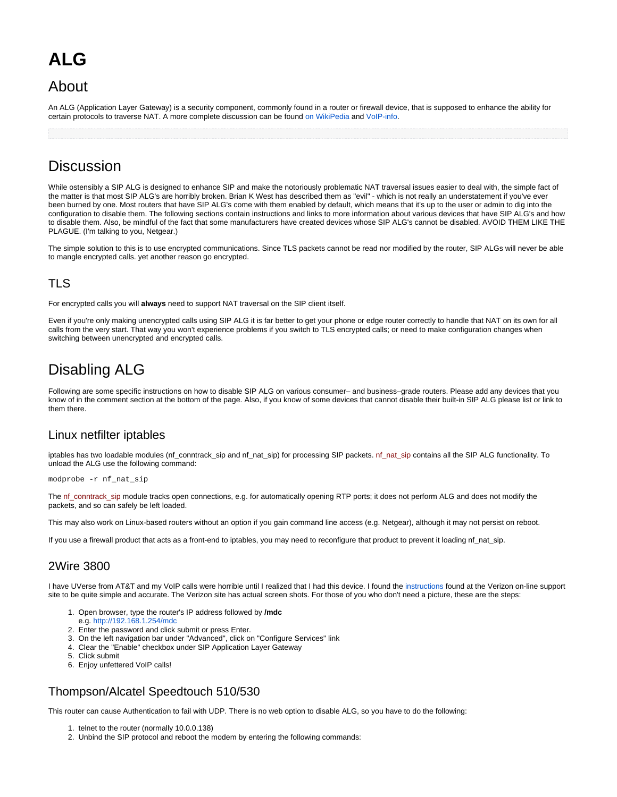# **ALG**

# About

An ALG (Application Layer Gateway) is a security component, commonly found in a router or firewall device, that is supposed to enhance the ability for certain protocols to traverse NAT. A more complete discussion can be found [on WikiPedia](http://en.wikipedia.org/wiki/Application-level_gateway) and [VoIP-info](http://www.voip-info.org/wiki/view/Routers+SIP+ALG).

# **Discussion**

While ostensibly a SIP ALG is designed to enhance SIP and make the notoriously problematic NAT traversal issues easier to deal with, the simple fact of the matter is that most SIP ALG's are horribly broken. Brian K West has described them as "evil" - which is not really an understatement if you've ever been burned by one. Most routers that have SIP ALG's come with them enabled by default, which means that it's up to the user or admin to dig into the configuration to disable them. The following sections contain instructions and links to more information about various devices that have SIP ALG's and how to disable them. Also, be mindful of the fact that some manufacturers have created devices whose SIP ALG's cannot be disabled. AVOID THEM LIKE THE PLAGUE. (I'm talking to you, Netgear.)

The simple solution to this is to use encrypted communications. Since TLS packets cannot be read nor modified by the router, SIP ALGs will never be able to mangle encrypted calls. yet another reason go encrypted.

# TLS

For encrypted calls you will **always** need to support NAT traversal on the SIP client itself.

Even if you're only making unencrypted calls using SIP ALG it is far better to get your phone or edge router correctly to handle that NAT on its own for all calls from the very start. That way you won't experience problems if you switch to TLS encrypted calls; or need to make configuration changes when switching between unencrypted and encrypted calls.

# Disabling ALG

Following are some specific instructions on how to disable SIP ALG on various consumer– and business–grade routers. Please add any devices that you know of in the comment section at the bottom of the page. Also, if you know of some devices that cannot disable their built-in SIP ALG please list or link to them there.

### Linux netfilter iptables

iptables has two loadable modules (nf conntrack sip and nf nat\_sip) for processing SIP packets. nf nat\_sip contains all the SIP ALG functionality. To unload the ALG use the following command:

modprobe -r nf\_nat\_sip

The nf\_conntrack\_sip module tracks open connections, e.g. for automatically opening RTP ports; it does not perform ALG and does not modify the packets, and so can safely be left loaded.

This may also work on Linux-based routers without an option if you gain command line access (e.g. Netgear), although it may not persist on reboot.

If you use a firewall product that acts as a front-end to iptables, you may need to reconfigure that product to prevent it loading nf\_nat\_sip.

### 2Wire 3800

I have UVerse from AT&T and my VoIP calls were horrible until I realized that I had this device. I found the [instructions](http://search.vzw.com/?do=viewdoc&id=22977&p=4166&supportview=1) found at the Verizon on-line support site to be quite simple and accurate. The Verizon site has actual screen shots. For those of you who don't need a picture, these are the steps:

- 1. Open browser, type the router's IP address followed by **/mdc**
- e.g. <http://192.168.1.254/mdc>
- 2. Enter the password and click submit or press Enter.
- 3. On the left navigation bar under "Advanced", click on "Configure Services" link
- 4. Clear the "Enable" checkbox under SIP Application Layer Gateway
- 5. Click submit
- 6. Enjoy unfettered VoIP calls!

### Thompson/Alcatel Speedtouch 510/530

This router can cause Authentication to fail with UDP. There is no web option to disable ALG, so you have to do the following:

- 1. telnet to the router (normally 10.0.0.138)
- 2. Unbind the SIP protocol and reboot the modem by entering the following commands: